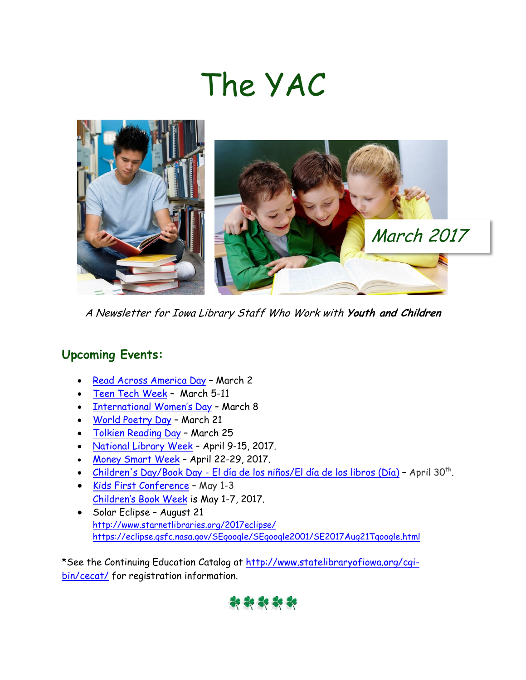# The YAC



A Newsletter for Iowa Library Staff Who Work with **Youth and Children**

## **Upcoming Events:**

- [Read Across America Day](http://www.nea.org/grants/61654.htm) March 2
- [Teen Tech Week](http://teentechweek.ning.com/) March 5-11
- [International Women's Day](https://www.internationalwomensday.com/) March 8
- [World Poetry Day](http://www.un.org/en/events/poetryday/) March 21
- [Tolkien Reading Day](https://www.tolkiensociety.org/society/events/reading-day/) March 25
- [National Library Week](http://www.ala.org/conferencesevents/celebrationweeks/natlibraryweek) April 9-15, 2017.
- [Money Smart Week](http://www.moneysmartweek.org/) April 22-29, 2017.
- [Children's Day/Book Day -](http://dia.ala.org/) El día de los niños/El día de los libros (Día) April 30<sup>th</sup>.
- [Kids First Conference](http://www.statelibraryofiowa.org/ld/t-z/youthservices/kidsfirst%202011/kids-first-2017) May 1-3 [Children's Book Week](http://www.bookweekonline.com/) is May 1-7, 2017.
- Solar Eclipse August 21 <http://www.starnetlibraries.org/2017eclipse/> <https://eclipse.gsfc.nasa.gov/SEgoogle/SEgoogle2001/SE2017Aug21Tgoogle.html>

\*See the Continuing Education Catalog at [http://www.statelibraryofiowa.org/cgi](http://www.statelibraryofiowa.org/cgi-bin/cecat/)[bin/cecat/](http://www.statelibraryofiowa.org/cgi-bin/cecat/) for registration information.

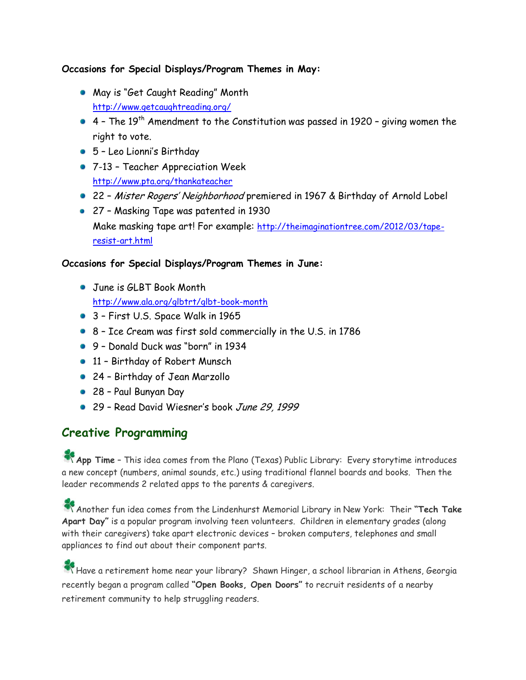#### **Occasions for Special Displays/Program Themes in May:**

- May is "Get Caught Reading" Month <http://www.getcaughtreading.org/>
- $\bullet$  4 The 19<sup>th</sup> Amendment to the Constitution was passed in 1920 giving women the right to vote.
- 5 Leo Lionni's Birthday
- 7-13 Teacher Appreciation Week <http://www.pta.org/thankateacher>
- 22 Mister Rogers' Neighborhood premiered in 1967 & Birthday of Arnold Lobel
- 27 Masking Tape was patented in 1930 Make masking tape art! For example: [http://theimaginationtree.com/2012/03/tape](http://theimaginationtree.com/2012/03/tape-resist-art.html)[resist-art.html](http://theimaginationtree.com/2012/03/tape-resist-art.html)

#### **Occasions for Special Displays/Program Themes in June:**

- **June is GLBT Book Month** <http://www.ala.org/glbtrt/glbt-book-month>
- 3 First U.S. Space Walk in 1965
- 8 Ice Cream was first sold commercially in the U.S. in 1786
- 9 Donald Duck was "born" in 1934
- 11 Birthday of Robert Munsch
- 24 Birthday of Jean Marzollo
- 28 Paul Bunyan Day
- 29 Read David Wiesner's book June 29, 1999

## **Creative Programming**

**App Time** – This idea comes from the Plano (Texas) Public Library: Every storytime introduces a new concept (numbers, animal sounds, etc.) using traditional flannel boards and books. Then the leader recommends 2 related apps to the parents & caregivers.

Another fun idea comes from the Lindenhurst Memorial Library in New York: Their **"Tech Take Apart Day"** is a popular program involving teen volunteers. Children in elementary grades (along with their caregivers) take apart electronic devices – broken computers, telephones and small appliances to find out about their component parts.

Have a retirement home near your library? Shawn Hinger, a school librarian in Athens, Georgia recently began a program called **"Open Books, Open Doors"** to recruit residents of a nearby retirement community to help struggling readers.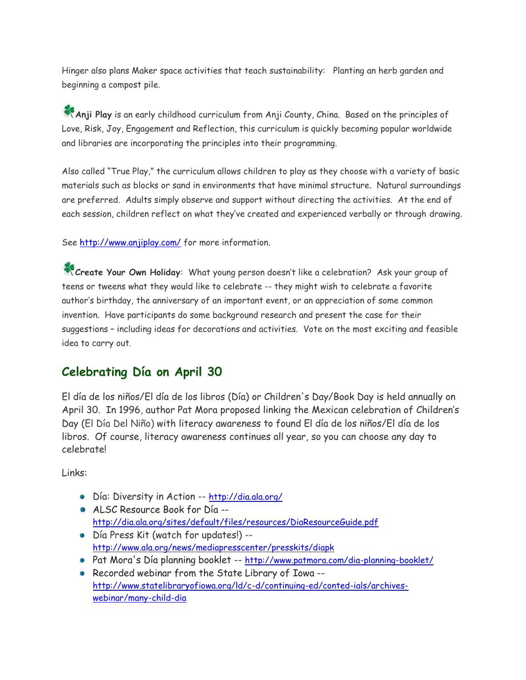Hinger also plans Maker space activities that teach sustainability: Planting an herb garden and beginning a compost pile.

**Anji Play** is an early childhood curriculum from Anji County, China. Based on the principles of Love, Risk, Joy, Engagement and Reflection, this curriculum is quickly becoming popular worldwide and libraries are incorporating the principles into their programming.

Also called "True Play," the curriculum allows children to play as they choose with a variety of basic materials such as blocks or sand in environments that have minimal structure. Natural surroundings are preferred. Adults simply observe and support without directing the activities. At the end of each session, children reflect on what they've created and experienced verbally or through drawing.

See<http://www.anjiplay.com/> for more information.

**Create Your Own Holiday**: What young person doesn't like a celebration? Ask your group of teens or tweens what they would like to celebrate -- they might wish to celebrate a favorite author's birthday, the anniversary of an important event, or an appreciation of some common invention. Have participants do some background research and present the case for their suggestions – including ideas for decorations and activities. Vote on the most exciting and feasible idea to carry out.

## **Celebrating Día on April 30**

El día de los niños/El día de los libros (Día) or Children's Day/Book Day is held annually on April 30. In 1996, author Pat Mora proposed linking the Mexican celebration of Children's Day (El Día Del Niño) with literacy awareness to found El día de los niños/El día de los libros. Of course, literacy awareness continues all year, so you can choose any day to celebrate!

Links:

- Día: Diversity in Action -- <http://dia.ala.org/>
- ALSC Resource Book for Día <http://dia.ala.org/sites/default/files/resources/DiaResourceGuide.pdf>
- Día Press Kit (watch for updates!) <http://www.ala.org/news/mediapresscenter/presskits/diapk>
- Pat Mora's Día planning booklet -- <http://www.patmora.com/dia-planning-booklet/>
- Recorded webinar from the State Library of Iowa [http://www.statelibraryofiowa.org/ld/c-d/continuing-ed/conted-ials/archives](http://www.statelibraryofiowa.org/ld/c-d/continuing-ed/conted-ials/archives-webinar/many-child-dia)[webinar/many-child-dia](http://www.statelibraryofiowa.org/ld/c-d/continuing-ed/conted-ials/archives-webinar/many-child-dia)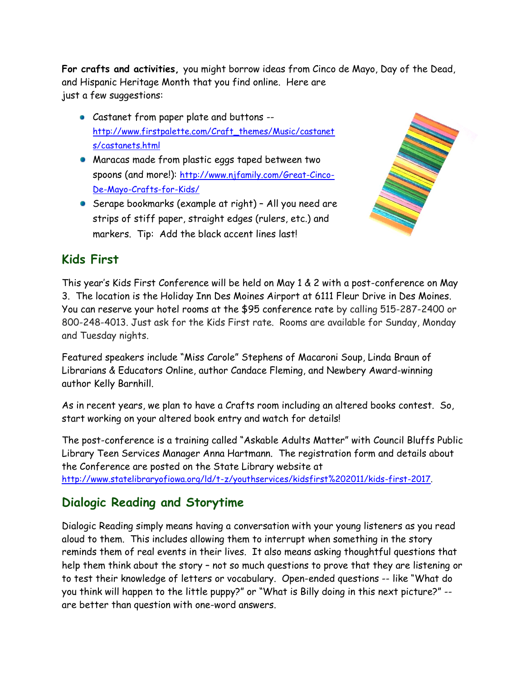**For crafts and activities,** you might borrow ideas from Cinco de Mayo, Day of the Dead, and Hispanic Heritage Month that you find online. Here are just a few suggestions:

- Castanet from paper plate and buttons [http://www.firstpalette.com/Craft\\_themes/Music/castanet](http://www.firstpalette.com/Craft_themes/Music/castanets/castanets.html) [s/castanets.html](http://www.firstpalette.com/Craft_themes/Music/castanets/castanets.html)
- Maracas made from plastic eggs taped between two spoons (and more!): [http://www.njfamily.com/Great-Cinco-](http://www.njfamily.com/Great-Cinco-De-Mayo-Crafts-for-Kids/)[De-Mayo-Crafts-for-Kids/](http://www.njfamily.com/Great-Cinco-De-Mayo-Crafts-for-Kids/)
- Serape bookmarks (example at right) All you need are strips of stiff paper, straight edges (rulers, etc.) and markers. Tip: Add the black accent lines last!



## **Kids First**

This year's Kids First Conference will be held on May 1 & 2 with a post-conference on May 3. The location is the Holiday Inn Des Moines Airport at 6111 Fleur Drive in Des Moines. You can reserve your hotel rooms at the \$95 conference rate by calling 515-287-2400 or 800-248-4013. Just ask for the Kids First rate. Rooms are available for Sunday, Monday and Tuesday nights.

Featured speakers include "Miss Carole" Stephens of Macaroni Soup, Linda Braun of Librarians & Educators Online, author Candace Fleming, and Newbery Award-winning author Kelly Barnhill.

As in recent years, we plan to have a Crafts room including an altered books contest. So, start working on your altered book entry and watch for details!

The post-conference is a training called "Askable Adults Matter" with Council Bluffs Public Library Teen Services Manager Anna Hartmann. The registration form and details about the Conference are posted on the State Library website at [http://www.statelibraryofiowa.org/ld/t-z/youthservices/kidsfirst%202011/kids-first-2017.](http://www.statelibraryofiowa.org/ld/t-z/youthservices/kidsfirst%202011/kids-first-2017) 

# **Dialogic Reading and Storytime**

Dialogic Reading simply means having a conversation with your young listeners as you read aloud to them. This includes allowing them to interrupt when something in the story reminds them of real events in their lives. It also means asking thoughtful questions that help them think about the story – not so much questions to prove that they are listening or to test their knowledge of letters or vocabulary. Open-ended questions -- like "What do you think will happen to the little puppy?" or "What is Billy doing in this next picture?" - are better than question with one-word answers.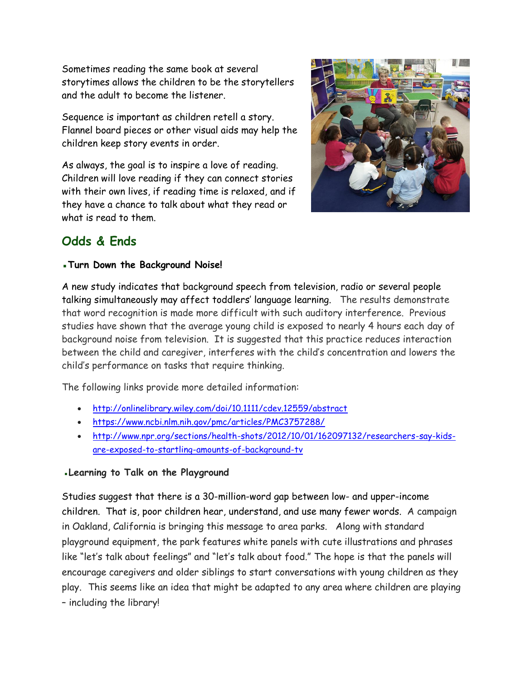Sometimes reading the same book at several storytimes allows the children to be the storytellers and the adult to become the listener.

Sequence is important as children retell a story. Flannel board pieces or other visual aids may help the children keep story events in order.

As always, the goal is to inspire a love of reading. Children will love reading if they can connect stories with their own lives, if reading time is relaxed, and if they have a chance to talk about what they read or what is read to them.



## **Odds & Ends**

#### ▪**Turn Down the Background Noise!**

A new study indicates that background speech from television, radio or several people talking simultaneously may affect toddlers' language learning. The results demonstrate that word recognition is made more difficult with such auditory interference. Previous studies have shown that the average young child is exposed to nearly 4 hours each day of background noise from television. It is suggested that this practice reduces interaction between the child and caregiver, interferes with the child's concentration and lowers the child's performance on tasks that require thinking.

The following links provide more detailed information:

- <http://onlinelibrary.wiley.com/doi/10.1111/cdev.12559/abstract>
- <https://www.ncbi.nlm.nih.gov/pmc/articles/PMC3757288/>
- [http://www.npr.org/sections/health-shots/2012/10/01/162097132/researchers-say-kids](http://www.npr.org/sections/health-shots/2012/10/01/162097132/researchers-say-kids-are-exposed-to-startling-amounts-of-background-tv)[are-exposed-to-startling-amounts-of-background-tv](http://www.npr.org/sections/health-shots/2012/10/01/162097132/researchers-say-kids-are-exposed-to-startling-amounts-of-background-tv)

#### **▪Learning to Talk on the Playground**

Studies suggest that there is a 30-million-word gap between low- and upper-income children. That is, poor children hear, understand, and use many fewer words. A campaign in Oakland, California is bringing this message to area parks. Along with standard playground equipment, the park features white panels with cute illustrations and phrases like "let's talk about feelings" and "let's talk about food." The hope is that the panels will encourage caregivers and older siblings to start conversations with young children as they play. This seems like an idea that might be adapted to any area where children are playing – including the library!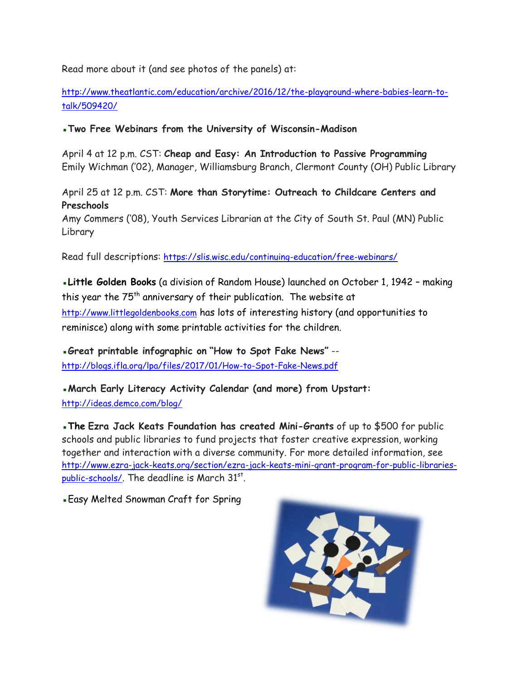Read more about it (and see photos of the panels) at:

[http://www.theatlantic.com/education/archive/2016/12/the-playground-where-babies-learn-to](http://www.theatlantic.com/education/archive/2016/12/the-playground-where-babies-learn-to-talk/509420/)[talk/509420/](http://www.theatlantic.com/education/archive/2016/12/the-playground-where-babies-learn-to-talk/509420/)

▪**Two Free Webinars from the University of Wisconsin-Madison**

April 4 at 12 p.m. CST: **Cheap and Easy: An Introduction to Passive Programming** Emily Wichman ('02), Manager, Williamsburg Branch, Clermont County (OH) Public Library

April 25 at 12 p.m. CST: **More than Storytime: Outreach to Childcare Centers and Preschools**

Amy Commers ('08), Youth Services Librarian at the City of South St. Paul (MN) Public Library

Read full descriptions: <https://slis.wisc.edu/continuing-education/free-webinars/>

▪**Little Golden Books** (a division of Random House) launched on October 1, 1942 – making this year the 75<sup>th</sup> anniversary of their publication. The website at [http://www.littlegoldenbooks.com](http://www.littlegoldenbooks.com/) has lots of interesting history (and opportunities to reminisce) along with some printable activities for the children.

▪**Great printable infographic on "How to Spot Fake News"** - <http://blogs.ifla.org/lpa/files/2017/01/How-to-Spot-Fake-News.pdf>

▪**March Early Literacy Activity Calendar (and more) from Upstart:** <http://ideas.demco.com/blog/>

▪**The Ezra Jack Keats Foundation has created Mini-Grants** of up to \$500 for public schools and public libraries to fund projects that foster creative expression, working together and interaction with a diverse community. For more detailed information, see [http://www.ezra-jack-keats.org/section/ezra-jack-keats-mini-grant-program-for-public-libraries](http://www.ezra-jack-keats.org/section/ezra-jack-keats-mini-grant-program-for-public-libraries-public-schools/)[public-schools/](http://www.ezra-jack-keats.org/section/ezra-jack-keats-mini-grant-program-for-public-libraries-public-schools/). The deadline is March 31st.

**Easy Melted Snowman Craft for Spring**